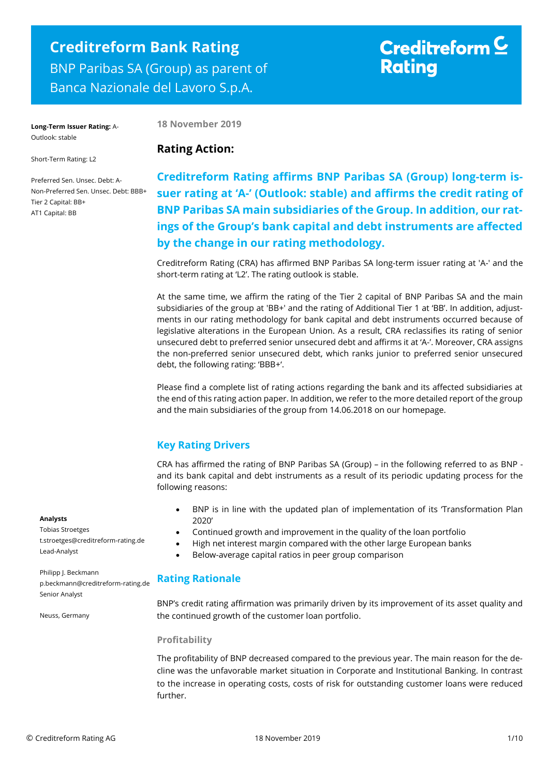## **Creditreform Bank Rating** BNP Paribas SA (Group) as parent of Banca Nazionale del Lavoro S.p.A.

# Creditreform  $\subseteq$ **Rating**

**Long-Term Issuer Rating:** A-Outlook: stable

**18 November 2019**

## Short-Term Rating: L2

Preferred Sen. Unsec. Debt: A-Non-Preferred Sen. Unsec. Debt: BBB+ Tier 2 Capital: BB+ AT1 Capital: BB

## **Rating Action:**

**Creditreform Rating affirms BNP Paribas SA (Group) long-term issuer rating at 'A-' (Outlook: stable) and affirms the credit rating of BNP Paribas SA main subsidiaries of the Group. In addition, our ratings of the Group's bank capital and debt instruments are affected by the change in our rating methodology.**

Creditreform Rating (CRA) has affirmed BNP Paribas SA long-term issuer rating at 'A-' and the short-term rating at 'L2'. The rating outlook is stable.

At the same time, we affirm the rating of the Tier 2 capital of BNP Paribas SA and the main subsidiaries of the group at 'BB+' and the rating of Additional Tier 1 at 'BB'. In addition, adjustments in our rating methodology for bank capital and debt instruments occurred because of legislative alterations in the European Union. As a result, CRA reclassifies its rating of senior unsecured debt to preferred senior unsecured debt and affirms it at 'A-'. Moreover, CRA assigns the non-preferred senior unsecured debt, which ranks junior to preferred senior unsecured debt, the following rating: 'BBB+'.

Please find a complete list of rating actions regarding the bank and its affected subsidiaries at the end of this rating action paper. In addition, we refer to the more detailed report of the group and the main subsidiaries of the group from 14.06.2018 on our homepage.

## **Key Rating Drivers**

CRA has affirmed the rating of BNP Paribas SA (Group) – in the following referred to as BNP and its bank capital and debt instruments as a result of its periodic updating process for the following reasons:

- BNP is in line with the updated plan of implementation of its 'Transformation Plan 2020'
- Continued growth and improvement in the quality of the loan portfolio
- High net interest margin compared with the other large European banks
- Below-average capital ratios in peer group comparison

## **Rating Rationale**

BNP's credit rating affirmation was primarily driven by its improvement of its asset quality and the continued growth of the customer loan portfolio.

## **Profitability**

The profitability of BNP decreased compared to the previous year. The main reason for the decline was the unfavorable market situation in Corporate and Institutional Banking. In contrast to the increase in operating costs, costs of risk for outstanding customer loans were reduced further.

## **Analysts**

Tobias Stroetges t.stroetges@creditreform-rating.de Lead-Analyst

Philipp J. Beckmann p.beckmann@creditreform-rating.de Senior Analyst

Neuss, Germany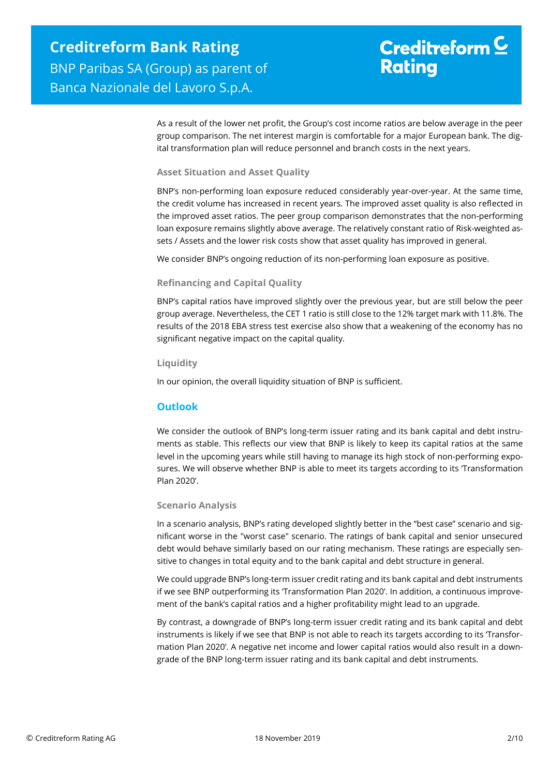# Creditreform  $C$ **Rating**

As a result of the lower net profit, the Group's cost income ratios are below average in the peer group comparison. The net interest margin is comfortable for a major European bank. The digital transformation plan will reduce personnel and branch costs in the next years.

## **Asset Situation and Asset Quality**

BNP's non-performing loan exposure reduced considerably year-over-year. At the same time, the credit volume has increased in recent years. The improved asset quality is also reflected in the improved asset ratios. The peer group comparison demonstrates that the non-performing loan exposure remains slightly above average. The relatively constant ratio of Risk-weighted assets / Assets and the lower risk costs show that asset quality has improved in general.

We consider BNP's ongoing reduction of its non-performing loan exposure as positive.

## **Refinancing and Capital Quality**

BNP's capital ratios have improved slightly over the previous year, but are still below the peer group average. Nevertheless, the CET 1 ratio is still close to the 12% target mark with 11.8%. The results of the 2018 EBA stress test exercise also show that a weakening of the economy has no significant negative impact on the capital quality.

## **Liquidity**

In our opinion, the overall liquidity situation of BNP is sufficient.

## **Outlook**

We consider the outlook of BNP's long-term issuer rating and its bank capital and debt instruments as stable. This reflects our view that BNP is likely to keep its capital ratios at the same level in the upcoming years while still having to manage its high stock of non-performing exposures. We will observe whether BNP is able to meet its targets according to its 'Transformation Plan 2020'.

## **Scenario Analysis**

In a scenario analysis, BNP's rating developed slightly better in the "best case" scenario and significant worse in the "worst case" scenario. The ratings of bank capital and senior unsecured debt would behave similarly based on our rating mechanism. These ratings are especially sensitive to changes in total equity and to the bank capital and debt structure in general.

We could upgrade BNP's long-term issuer credit rating and its bank capital and debt instruments if we see BNP outperforming its 'Transformation Plan 2020'. In addition, a continuous improvement of the bank's capital ratios and a higher profitability might lead to an upgrade.

By contrast, a downgrade of BNP's long-term issuer credit rating and its bank capital and debt instruments is likely if we see that BNP is not able to reach its targets according to its 'Transformation Plan 2020'. A negative net income and lower capital ratios would also result in a downgrade of the BNP long-term issuer rating and its bank capital and debt instruments.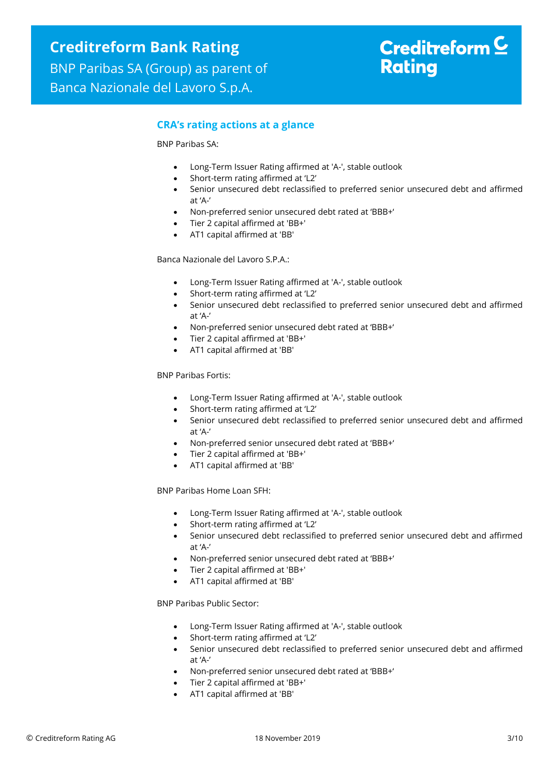## **CRA's rating actions at a glance**

BNP Paribas SA:

- Long-Term Issuer Rating affirmed at 'A-', stable outlook
- Short-term rating affirmed at 'L2'
- Senior unsecured debt reclassified to preferred senior unsecured debt and affirmed at 'A-'
- Non-preferred senior unsecured debt rated at 'BBB+'
- Tier 2 capital affirmed at 'BB+'
- AT1 capital affirmed at 'BB'

Banca Nazionale del Lavoro S.P.A.:

- Long-Term Issuer Rating affirmed at 'A-', stable outlook
- Short-term rating affirmed at 'L2'
- Senior unsecured debt reclassified to preferred senior unsecured debt and affirmed at 'A-'
- Non-preferred senior unsecured debt rated at 'BBB+'
- Tier 2 capital affirmed at 'BB+'
- AT1 capital affirmed at 'BB'

BNP Paribas Fortis:

- Long-Term Issuer Rating affirmed at 'A-', stable outlook
- Short-term rating affirmed at 'L2'
- Senior unsecured debt reclassified to preferred senior unsecured debt and affirmed at 'A-'
- Non-preferred senior unsecured debt rated at 'BBB+'
- Tier 2 capital affirmed at 'BB+'
- AT1 capital affirmed at 'BB'

BNP Paribas Home Loan SFH:

- Long-Term Issuer Rating affirmed at 'A-', stable outlook
- Short-term rating affirmed at 'L2'
- Senior unsecured debt reclassified to preferred senior unsecured debt and affirmed at 'A-'
- Non-preferred senior unsecured debt rated at 'BBB+'
- Tier 2 capital affirmed at 'BB+'
- AT1 capital affirmed at 'BB'

BNP Paribas Public Sector:

- Long-Term Issuer Rating affirmed at 'A-', stable outlook
- Short-term rating affirmed at 'L2'
- Senior unsecured debt reclassified to preferred senior unsecured debt and affirmed at 'A-'
- Non-preferred senior unsecured debt rated at 'BBB+'
- Tier 2 capital affirmed at 'BB+'
- AT1 capital affirmed at 'BB'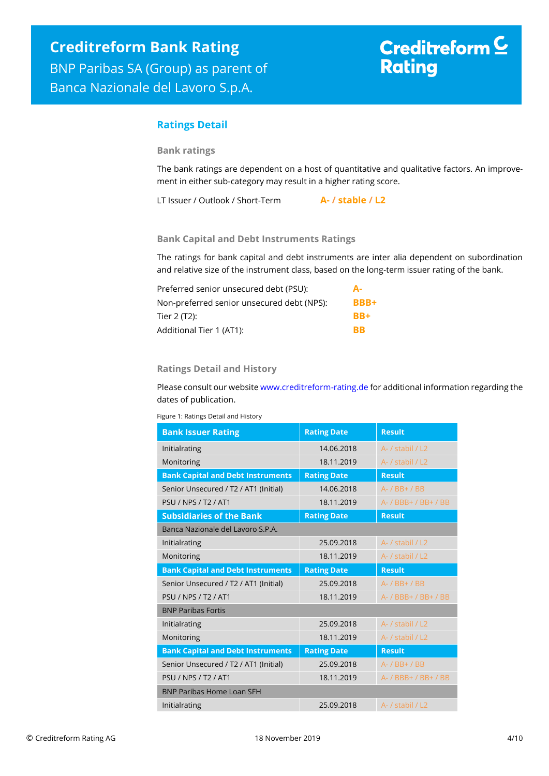## **Ratings Detail**

## **Bank ratings**

The bank ratings are dependent on a host of quantitative and qualitative factors. An improvement in either sub-category may result in a higher rating score.

LT Issuer / Outlook / Short-Term **A- / stable / L2**

## **Bank Capital and Debt Instruments Ratings**

The ratings for bank capital and debt instruments are inter alia dependent on subordination and relative size of the instrument class, based on the long-term issuer rating of the bank.

| Preferred senior unsecured debt (PSU):     | Д.          |
|--------------------------------------------|-------------|
| Non-preferred senior unsecured debt (NPS): | <b>BBB+</b> |
| Tier 2 (T2):                               | <b>BB+</b>  |
| Additional Tier 1 (AT1):                   | ВR          |

## **Ratings Detail and History**

Please consult our websit[e www.creditreform-rating.de](http://www.creditreform-rating.de/) for additional information regarding the dates of publication.

Figure 1: Ratings Detail and History

| <b>Bank Issuer Rating</b>                | <b>Rating Date</b> | <b>Result</b>        |
|------------------------------------------|--------------------|----------------------|
| Initialrating                            | 14.06.2018         | A- / stabil / L2     |
| Monitoring                               | 18.11.2019         | A- / stabil / L2     |
| <b>Bank Capital and Debt Instruments</b> | <b>Rating Date</b> | <b>Result</b>        |
| Senior Unsecured / T2 / AT1 (Initial)    | 14.06.2018         | A- / BB+ / BB        |
| <b>PSU / NPS / T2 / AT1</b>              | 18.11.2019         | A- / BBB+ / BB+ / BB |
| <b>Subsidiaries of the Bank</b>          | <b>Rating Date</b> | <b>Result</b>        |
| Banca Nazionale del Lavoro S.P.A.        |                    |                      |
| Initialrating                            | 25.09.2018         | A- / stabil / L2     |
| Monitoring                               | 18.11.2019         | A- / stabil / L2     |
| <b>Bank Capital and Debt Instruments</b> | <b>Rating Date</b> | <b>Result</b>        |
| Senior Unsecured / T2 / AT1 (Initial)    | 25.09.2018         | A- / BB+ / BB        |
| <b>PSU / NPS / T2 / AT1</b>              | 18.11.2019         | A- / BBB+ / BB+ / BB |
| <b>BNP Paribas Fortis</b>                |                    |                      |
| Initialrating                            | 25.09.2018         | A- / stabil / L2     |
| Monitoring                               | 18.11.2019         | A- / stabil / L2     |
| <b>Bank Capital and Debt Instruments</b> | <b>Rating Date</b> | <b>Result</b>        |
| Senior Unsecured / T2 / AT1 (Initial)    | 25.09.2018         | A- / BB+ / BB        |
| <b>PSU / NPS / T2 / AT1</b>              | 18.11.2019         | A- / BBB+ / BB+ / BB |
| <b>BNP Paribas Home Loan SEH</b>         |                    |                      |
|                                          |                    |                      |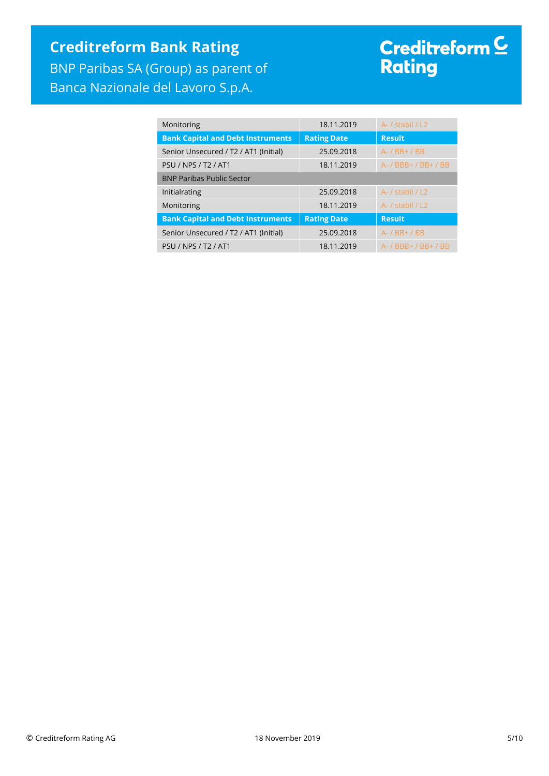## **Creditreform Bank Rating** BNP Paribas SA (Group) as parent of Banca Nazionale del Lavoro S.p.A.

# Creditreform <sup>C</sup><br>Rating

| Monitoring                               | 18.11.2019         | A- / stabil / L2     |
|------------------------------------------|--------------------|----------------------|
| <b>Bank Capital and Debt Instruments</b> | <b>Rating Date</b> | <b>Result</b>        |
| Senior Unsecured / T2 / AT1 (Initial)    | 25.09.2018         | $A - / BB + / BB$    |
| <b>PSU / NPS / T2 / AT1</b>              | 18.11.2019         | A- / BBB+ / BB+ / BB |
| <b>BNP Paribas Public Sector</b>         |                    |                      |
| Initialrating                            | 25.09.2018         | A- / stabil / L2     |
| Monitoring                               | 18.11.2019         | A- / stabil / L2     |
| <b>Bank Capital and Debt Instruments</b> | <b>Rating Date</b> | <b>Result</b>        |
| Senior Unsecured / T2 / AT1 (Initial)    | 25.09.2018         | A- / BB+ / BB        |
| <b>PSU / NPS / T2 / AT1</b>              | 18.11.2019         | A- / BBB+ / BB+ / BB |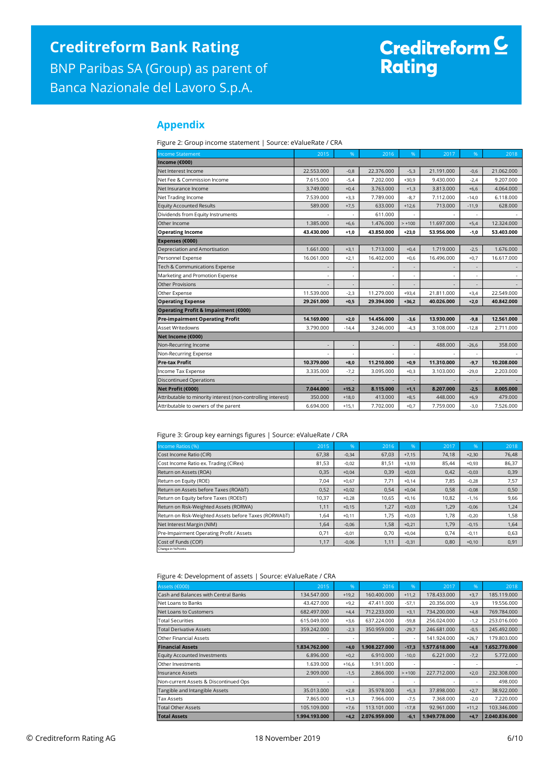# Creditreform <mark>C</mark><br>Rating

## **Appendix**

Figure 2: Group income statement | Source: eValueRate / CRA

| <b>Income Statement</b>                                      | 2015                     | %                        | 2016       | %        | 2017       | %       | 2018       |
|--------------------------------------------------------------|--------------------------|--------------------------|------------|----------|------------|---------|------------|
| Income (€000)                                                |                          |                          |            |          |            |         |            |
| Net Interest Income                                          | 22.553.000               | $-0,8$                   | 22.376.000 | $-5,3$   | 21.191.000 | $-0,6$  | 21.062.000 |
| Net Fee & Commission Income                                  | 7.615.000                | $-5,4$                   | 7.202.000  | $+30,9$  | 9.430.000  | $-2,4$  | 9.207.000  |
| Net Insurance Income                                         | 3.749.000                | $+0,4$                   | 3.763.000  | $+1,3$   | 3.813.000  | $+6,6$  | 4.064.000  |
| Net Trading Income                                           | 7.539.000                | $+3,3$                   | 7.789.000  | $-8,7$   | 7.112.000  | $-14,0$ | 6.118.000  |
| <b>Equity Accounted Results</b>                              | 589,000                  | $+7,5$                   | 633.000    | $+12,6$  | 713.000    | $-11,9$ | 628.000    |
| Dividends from Equity Instruments                            |                          |                          | 611.000    |          |            |         |            |
| Other Income                                                 | 1.385.000                | $+6,6$                   | 1.476.000  | $> +100$ | 11.697.000 | $+5,4$  | 12,324,000 |
| <b>Operating Income</b>                                      | 43.430.000               | $+1,0$                   | 43.850.000 | $+23,0$  | 53.956.000 | $-1,0$  | 53.403.000 |
| Expenses (€000)                                              |                          |                          |            |          |            |         |            |
| Depreciation and Amortisation                                | 1.661.000                | $+3,1$                   | 1,713,000  | $+0.4$   | 1,719,000  | $-2.5$  | 1,676,000  |
| Personnel Expense                                            | 16.061.000               | $+2,1$                   | 16.402.000 | $+0,6$   | 16.496.000 | $+0,7$  | 16.617.000 |
| Tech & Communications Expense                                |                          |                          |            |          |            |         |            |
| Marketing and Promotion Expense                              |                          | $\overline{\phantom{a}}$ |            |          |            |         |            |
| <b>Other Provisions</b>                                      |                          | $\overline{a}$           |            |          |            |         |            |
| Other Expense                                                | 11.539.000               | $-2,3$                   | 11.279.000 | $+93,4$  | 21.811.000 | $+3,4$  | 22.549.000 |
| <b>Operating Expense</b>                                     | 29.261.000               | $+0.5$                   | 29.394.000 | $+36.2$  | 40.026.000 | $+2.0$  | 40.842.000 |
| Operating Profit & Impairment (€000)                         |                          |                          |            |          |            |         |            |
| <b>Pre-impairment Operating Profit</b>                       | 14.169.000               | $+2,0$                   | 14.456.000 | $-3,6$   | 13.930.000 | $-9,8$  | 12.561.000 |
| Asset Writedowns                                             | 3.790.000                | $-14,4$                  | 3.246.000  | $-4,3$   | 3.108.000  | $-12,8$ | 2.711.000  |
| Net Income (€000)                                            |                          |                          |            |          |            |         |            |
| Non-Recurring Income                                         | $\overline{\phantom{a}}$ | $\overline{\phantom{a}}$ |            | ÷        | 488.000    | $-26,6$ | 358.000    |
| Non-Recurring Expense                                        |                          |                          |            |          |            |         |            |
| <b>Pre-tax Profit</b>                                        | 10.379.000               | $+8,0$                   | 11.210.000 | $+0,9$   | 11.310.000 | $-9,7$  | 10.208.000 |
| Income Tax Expense                                           | 3.335.000                | $-7,2$                   | 3.095.000  | $+0.3$   | 3.103.000  | $-29,0$ | 2.203.000  |
| <b>Discontinued Operations</b>                               |                          | ÷,                       |            |          |            |         |            |
| Net Profit (€000)                                            | 7.044.000                | $+15,2$                  | 8.115.000  | $+1,1$   | 8.207.000  | $-2,5$  | 8.005.000  |
| Attributable to minority interest (non-controlling interest) | 350,000                  | $+18,0$                  | 413.000    | $+8,5$   | 448,000    | $+6,9$  | 479,000    |
| Attributable to owners of the parent                         | 6.694.000                | $+15,1$                  | 7.702.000  | $+0.7$   | 7.759.000  | $-3,0$  | 7.526.000  |

## Figure 3: Group key earnings figures | Source: eValueRate / CRA

| Income Ratios (%)                                     | 2015  | %       | 2016  | %       | 2017  | $96^{\circ}$ | 2018  |
|-------------------------------------------------------|-------|---------|-------|---------|-------|--------------|-------|
| Cost Income Ratio (CIR)                               | 67,38 | $-0,34$ | 67,03 | $+7,15$ | 74,18 | $+2,30$      | 76,48 |
| Cost Income Ratio ex. Trading (CIRex)                 | 81,53 | $-0.02$ | 81,51 | $+3,93$ | 85.44 | $+0,93$      | 86,37 |
| Return on Assets (ROA)                                | 0,35  | $+0,04$ | 0,39  | $+0,03$ | 0,42  | $-0,03$      | 0,39  |
| Return on Equity (ROE)                                | 7,04  | $+0,67$ | 7,71  | $+0.14$ | 7,85  | $-0,28$      | 7,57  |
| Return on Assets before Taxes (ROAbT)                 | 0,52  | $+0,02$ | 0,54  | $+0,04$ | 0,58  | $-0,08$      | 0,50  |
| Return on Equity before Taxes (ROEbT)                 | 10,37 | $+0,28$ | 10,65 | $+0,16$ | 10,82 | $-1,16$      | 9,66  |
| Return on Risk-Weighted Assets (RORWA)                | 1,11  | $+0,15$ | 1,27  | $+0,03$ | 1,29  | $-0,06$      | 1,24  |
| Return on Risk-Weighted Assets before Taxes (RORWAbT) | 1,64  | $+0,11$ | 1.75  | $+0.03$ | 1.78  | $-0,20$      | 1,58  |
| Net Interest Margin (NIM)                             | 1,64  | $-0,06$ | 1,58  | $+0,21$ | 1,79  | $-0,15$      | 1,64  |
| Pre-Impairment Operating Profit / Assets              | 0,71  | $-0,01$ | 0,70  | $+0,04$ | 0,74  | $-0,11$      | 0,63  |
| Cost of Funds (COF)                                   | 1,17  | $-0,06$ | 1,11  | $-0,31$ | 0,80  | $+0,10$      | 0,91  |
| Change in % Points                                    |       |         |       |         |       |              |       |

Figure 4: Development of assets | Source: eValueRate / CRA

| Assets (€000)                         | 2015          | .96     | 2016          | %        | 2017          | %       | 2018          |
|---------------------------------------|---------------|---------|---------------|----------|---------------|---------|---------------|
| Cash and Balances with Central Banks  | 134.547.000   | $+19,2$ | 160,400,000   | $+11,2$  | 178.433.000   | $+3,7$  | 185.119.000   |
| Net Loans to Banks                    | 43.427.000    | $+9,2$  | 47.411.000    | $-57,1$  | 20.356.000    | $-3,9$  | 19,556,000    |
| Net Loans to Customers                | 682.497.000   | $+4,4$  | 712.233.000   | $+3,1$   | 734.200.000   | $+4,8$  | 769.784.000   |
| <b>Total Securities</b>               | 615.049.000   | $+3,6$  | 637.224.000   | $-59,8$  | 256.024.000   | $-1,2$  | 253.016.000   |
| <b>Total Derivative Assets</b>        | 359.242.000   | $-2,3$  | 350,959,000   | $-29,7$  | 246.681.000   | $-0,5$  | 245.492.000   |
| <b>Other Financial Assets</b>         |               | ٠       | ٠             |          | 141.924.000   | $+26,7$ | 179.803.000   |
| <b>Financial Assets</b>               | 1.834.762.000 | $+4,0$  | 1.908.227.000 | $-17,3$  | 1.577.618.000 | $+4,8$  | 1.652.770.000 |
| <b>Equity Accounted Investments</b>   | 6.896.000     | $+0,2$  | 6.910.000     | $-10,0$  | 6.221.000     | $-7,2$  | 5.772.000     |
| Other Investments                     | 1.639.000     | $+16.6$ | 1.911.000     |          |               |         |               |
| <b>Insurance Assets</b>               | 2.909.000     | $-1,5$  | 2.866,000     | $> +100$ | 227.712.000   | $+2,0$  | 232.308.000   |
| Non-current Assets & Discontinued Ops | ٠             | ٠       | ٠             |          |               |         | 498,000       |
| Tangible and Intangible Assets        | 35.013.000    | $+2,8$  | 35.978.000    | $+5,3$   | 37,898,000    | $+2,7$  | 38.922.000    |
| Tax Assets                            | 7.865.000     | $+1,3$  | 7.966.000     | $-7,5$   | 7.368.000     | $-2,0$  | 7.220.000     |
|                                       |               |         |               |          |               |         |               |
| <b>Total Other Assets</b>             | 105.109.000   | $+7,6$  | 113,101,000   | $-17,8$  | 92.961.000    | $+11,2$ | 103.346.000   |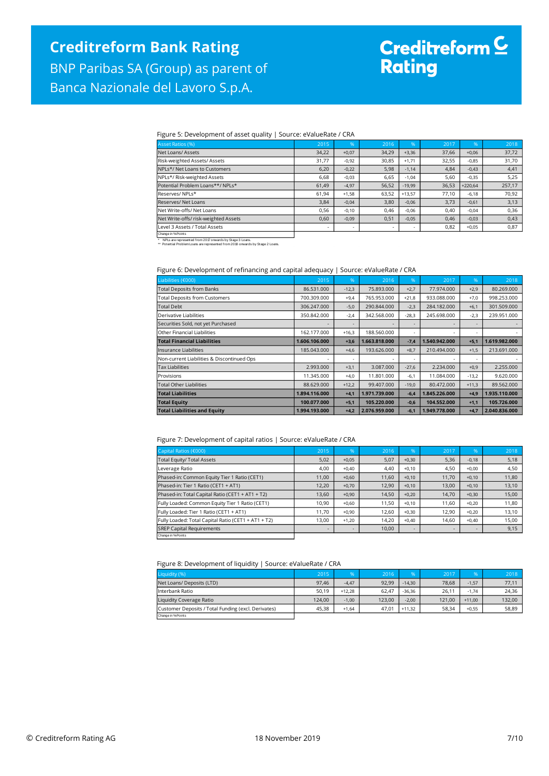# Creditreform C<br>Rating

#### Figure 5: Development of asset quality | Source: eValueRate / CRA

| Asset Ratios (%)                     | 2015  | $\frac{9}{6}$ | 2016  | %                        | 2017  | $96^{\circ}$ | 2018   |
|--------------------------------------|-------|---------------|-------|--------------------------|-------|--------------|--------|
| Net Loans/Assets                     | 34,22 | $+0.07$       | 34,29 | $+3,36$                  | 37,66 | $+0,06$      | 37,72  |
| Risk-weighted Assets/ Assets         | 31,77 | $-0,92$       | 30,85 | $+1,71$                  | 32,55 | $-0,85$      | 31,70  |
| NPLs*/ Net Loans to Customers        | 6,20  | $-0,22$       | 5,98  | $-1,14$                  | 4,84  | $-0,43$      | 4,41   |
| NPLs*/ Risk-weighted Assets          | 6,68  | $-0,03$       | 6,65  | $-1,04$                  | 5,60  | $-0,35$      | 5,25   |
| Potential Problem Loans**/ NPLs*     | 61,49 | $-4,97$       | 56,52 | $-19,99$                 | 36,53 | $+220.64$    | 257,17 |
| Reserves/NPLs*                       | 61,94 | $+1,58$       | 63,52 | $+13.57$                 | 77,10 | $-6,18$      | 70,92  |
| Reserves/Net Loans                   | 3,84  | $-0.04$       | 3,80  | $-0,06$                  | 3,73  | $-0,61$      | 3,13   |
| Net Write-offs/ Net Loans            | 0,56  | $-0.10$       | 0,46  | $-0,06$                  | 0,40  | $-0.04$      | 0,36   |
| Net Write-offs/ risk-weighted Assets | 0,60  | $-0,09$       | 0,51  | $-0,05$                  | 0,46  | $-0,03$      | 0,43   |
| Level 3 Assets / Total Assets        |       |               | ٠     | $\overline{\phantom{a}}$ | 0,82  | $+0,05$      | 0,87   |
| Charles and Charles Controllers      |       |               |       |                          |       |              |        |

Change in %-Points<br>\* PIPLs are represented from 2017 onwards by Stage 3 Loans.<br>\*\* Potential Problem Loans are represented from 2018 onwards by Stage 2 Loans.

## Figure 6: Development of refinancing and capital adequacy | Source: eValueRate / CRA

| Liabilities (€000)                         | 2015          | $\%$    | 2016          | $\frac{9}{6}$ | 2017          | 96                       | 2018          |
|--------------------------------------------|---------------|---------|---------------|---------------|---------------|--------------------------|---------------|
| <b>Total Deposits from Banks</b>           | 86.531.000    | $-12,3$ | 75.893.000    | $+2,7$        | 77.974.000    | $+2,9$                   | 80.269.000    |
| <b>Total Deposits from Customers</b>       | 700.309.000   | $+9,4$  | 765.953.000   | $+21,8$       | 933.088.000   | $+7,0$                   | 998.253.000   |
| <b>Total Debt</b>                          | 306.247.000   | $-5,0$  | 290.844.000   | $-2,3$        | 284.182.000   | $+6,1$                   | 301.509.000   |
| Derivative Liabilities                     | 350.842.000   | $-2,4$  | 342.568.000   | $-28,3$       | 245.698.000   | $-2,3$                   | 239.951.000   |
| Securities Sold, not yet Purchased         |               | ٠       | ۰             |               |               | $\overline{\phantom{a}}$ |               |
| Other Financial Liabilities                | 162.177.000   | $+16,3$ | 188.560.000   | ۰             |               |                          |               |
| <b>Total Financial Liabilities</b>         | 1.606.106.000 | $+3,6$  | 1.663.818.000 | $-7,4$        | 1.540.942.000 | $+5,1$                   | 1.619.982.000 |
| Insurance Liabilities                      | 185,043,000   | $+4,6$  | 193.626.000   | $+8,7$        | 210.494.000   | $+1,5$                   | 213.691.000   |
| Non-current Liabilities & Discontinued Ops | ٠             | ۰       | ٠             |               |               |                          |               |
| <b>Tax Liabilities</b>                     | 2.993.000     | $+3,1$  | 3.087.000     | $-27,6$       | 2.234,000     | $+0,9$                   | 2.255.000     |
| Provisions                                 | 11.345.000    | $+4,0$  | 11.801.000    | $-6,1$        | 11.084.000    | $-13,2$                  | 9.620.000     |
| <b>Total Other Liabilities</b>             | 88.629.000    | $+12,2$ | 99.407.000    | $-19,0$       | 80.472.000    | $+11,3$                  | 89.562.000    |
| <b>Total Liabilities</b>                   | 1.894.116.000 | $+4,1$  | 1.971.739.000 | $-6,4$        | 1.845.226.000 | $+4,9$                   | 1.935.110.000 |
| <b>Total Equity</b>                        | 100.077.000   | $+5,1$  | 105.220.000   | $-0,6$        | 104.552.000   | $+1,1$                   | 105.726.000   |
| <b>Total Liabilities and Equity</b>        | 1.994.193.000 | $+4,2$  | 2.076.959.000 | $-6,1$        | 1.949.778.000 | $+4,7$                   | 2.040.836.000 |

#### Figure 7: Development of capital ratios | Source: eValueRate / CRA

| Capital Ratios (€000)                               | 2015  | $.96^{\circ}$            | 2016  | 96'                      | 2017  | 96'     | 2018  |
|-----------------------------------------------------|-------|--------------------------|-------|--------------------------|-------|---------|-------|
| <b>Total Equity/ Total Assets</b>                   | 5,02  | $+0,05$                  | 5,07  | $+0,30$                  | 5,36  | $-0,18$ | 5,18  |
| Leverage Ratio                                      | 4,00  | $+0,40$                  | 4,40  | $+0,10$                  | 4,50  | $+0.00$ | 4,50  |
| Phased-in: Common Equity Tier 1 Ratio (CET1)        | 11,00 | $+0,60$                  | 11,60 | $+0,10$                  | 11,70 | $+0,10$ | 11,80 |
| Phased-in: Tier 1 Ratio (CET1 + AT1)                | 12,20 | $+0,70$                  | 12,90 | $+0,10$                  | 13,00 | $+0,10$ | 13,10 |
| Phased-in: Total Capital Ratio (CET1 + AT1 + T2)    | 13,60 | $+0,90$                  | 14,50 | $+0,20$                  | 14.70 | $+0,30$ | 15,00 |
| Fully Loaded: Common Equity Tier 1 Ratio (CET1)     | 10,90 | $+0,60$                  | 11,50 | $+0.10$                  | 11.60 | $+0.20$ | 11,80 |
| Fully Loaded: Tier 1 Ratio (CET1 + AT1)             | 11,70 | $+0,90$                  | 12,60 | $+0,30$                  | 12.90 | $+0,20$ | 13,10 |
| Fully Loaded: Total Capital Ratio (CET1 + AT1 + T2) | 13,00 | $+1,20$                  | 14,20 | $+0.40$                  | 14.60 | $+0.40$ | 15,00 |
| <b>SREP Capital Requirements</b>                    |       | $\overline{\phantom{a}}$ | 10,00 | $\overline{\phantom{a}}$ |       |         | 9,15  |
| Change in % Points                                  |       |                          |       |                          |       |         |       |

Figure 8: Development of liquidity | Source: eValueRate / CRA

| ີ                                                   |        |          |        |          |        |          |        |
|-----------------------------------------------------|--------|----------|--------|----------|--------|----------|--------|
| Liquidity (%)                                       | 2015   | %        | 2016   | 96       | 2017   | %        | 2018   |
| Net Loans/ Deposits (LTD)                           | 97,46  | $-4,47$  | 92.99  | $-14.30$ | 78,68  | $-1.57$  | 77,11  |
| Interbank Ratio                                     | 50.19  | $+12.28$ | 62.47  | $-36.36$ | 26,11  | $-1.74$  | 24.36  |
| Liquidity Coverage Ratio                            | 124.00 | $-1,00$  | 123.00 | $-2.00$  | 121.00 | $+11.00$ | 132,00 |
| Customer Deposits / Total Funding (excl. Derivates) | 45.38  | $+1.64$  | 47.01  | $+11.32$ | 58.34  | $+0.55$  | 58,89  |
| Change in % Points                                  |        |          |        |          |        |          |        |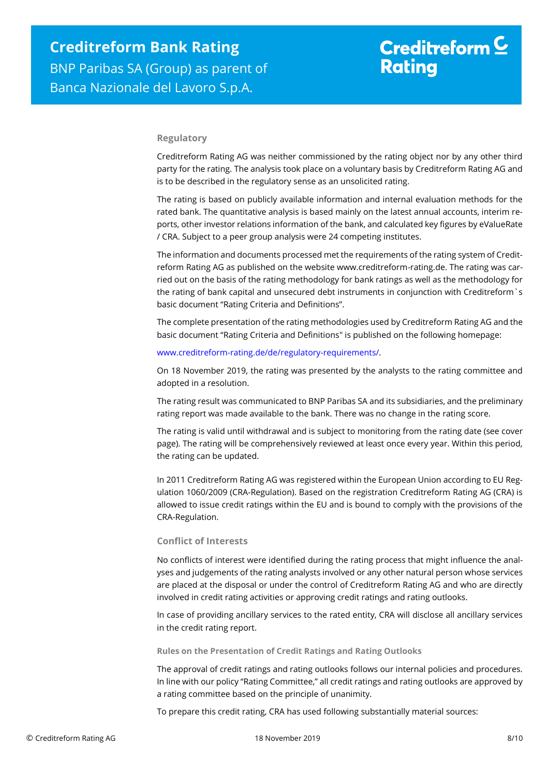## **Regulatory**

Creditreform Rating AG was neither commissioned by the rating object nor by any other third party for the rating. The analysis took place on a voluntary basis by Creditreform Rating AG and is to be described in the regulatory sense as an unsolicited rating.

The rating is based on publicly available information and internal evaluation methods for the rated bank. The quantitative analysis is based mainly on the latest annual accounts, interim reports, other investor relations information of the bank, and calculated key figures by eValueRate / CRA. Subject to a peer group analysis were 24 competing institutes.

The information and documents processed met the requirements of the rating system of Creditreform Rating AG as published on the website www.creditreform-rating.de. The rating was carried out on the basis of the rating methodology for bank ratings as well as the methodology for the rating of bank capital and unsecured debt instruments in conjunction with Creditreform`s basic document "Rating Criteria and Definitions".

The complete presentation of the rating methodologies used by Creditreform Rating AG and the basic document "Rating Criteria and Definitions" is published on the following homepage:

## [www.creditreform-rating.de/de/regulatory-requirements/.](http://www.creditreform-rating.de/de/regulatory-requirements/)

On 18 November 2019, the rating was presented by the analysts to the rating committee and adopted in a resolution.

The rating result was communicated to BNP Paribas SA and its subsidiaries, and the preliminary rating report was made available to the bank. There was no change in the rating score.

The rating is valid until withdrawal and is subject to monitoring from the rating date (see cover page). The rating will be comprehensively reviewed at least once every year. Within this period, the rating can be updated.

In 2011 Creditreform Rating AG was registered within the European Union according to EU Regulation 1060/2009 (CRA-Regulation). Based on the registration Creditreform Rating AG (CRA) is allowed to issue credit ratings within the EU and is bound to comply with the provisions of the CRA-Regulation.

## **Conflict of Interests**

No conflicts of interest were identified during the rating process that might influence the analyses and judgements of the rating analysts involved or any other natural person whose services are placed at the disposal or under the control of Creditreform Rating AG and who are directly involved in credit rating activities or approving credit ratings and rating outlooks.

In case of providing ancillary services to the rated entity, CRA will disclose all ancillary services in the credit rating report.

### **Rules on the Presentation of Credit Ratings and Rating Outlooks**

The approval of credit ratings and rating outlooks follows our internal policies and procedures. In line with our policy "Rating Committee," all credit ratings and rating outlooks are approved by a rating committee based on the principle of unanimity.

To prepare this credit rating, CRA has used following substantially material sources: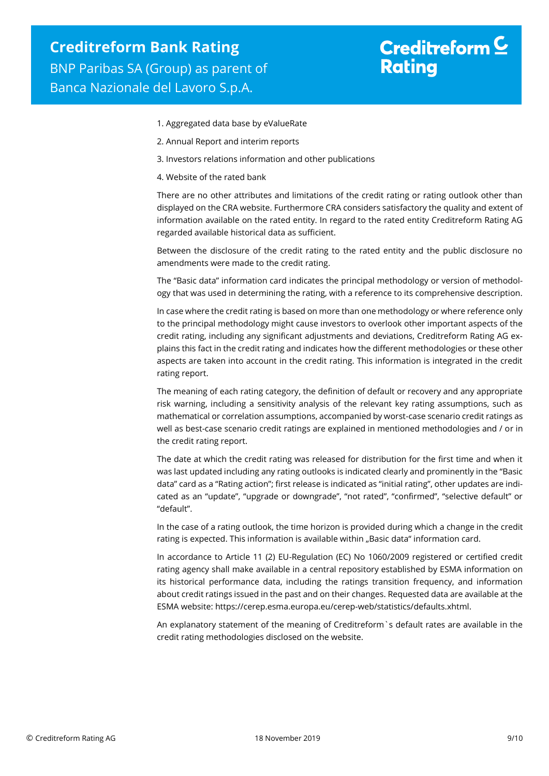- 1. Aggregated data base by eValueRate
- 2. Annual Report and interim reports
- 3. Investors relations information and other publications
- 4. Website of the rated bank

There are no other attributes and limitations of the credit rating or rating outlook other than displayed on the CRA website. Furthermore CRA considers satisfactory the quality and extent of information available on the rated entity. In regard to the rated entity Creditreform Rating AG regarded available historical data as sufficient.

Between the disclosure of the credit rating to the rated entity and the public disclosure no amendments were made to the credit rating.

The "Basic data" information card indicates the principal methodology or version of methodology that was used in determining the rating, with a reference to its comprehensive description.

In case where the credit rating is based on more than one methodology or where reference only to the principal methodology might cause investors to overlook other important aspects of the credit rating, including any significant adjustments and deviations, Creditreform Rating AG explains this fact in the credit rating and indicates how the different methodologies or these other aspects are taken into account in the credit rating. This information is integrated in the credit rating report.

The meaning of each rating category, the definition of default or recovery and any appropriate risk warning, including a sensitivity analysis of the relevant key rating assumptions, such as mathematical or correlation assumptions, accompanied by worst-case scenario credit ratings as well as best-case scenario credit ratings are explained in mentioned methodologies and / or in the credit rating report.

The date at which the credit rating was released for distribution for the first time and when it was last updated including any rating outlooks is indicated clearly and prominently in the "Basic data" card as a "Rating action"; first release is indicated as "initial rating", other updates are indicated as an "update", "upgrade or downgrade", "not rated", "confirmed", "selective default" or "default".

In the case of a rating outlook, the time horizon is provided during which a change in the credit rating is expected. This information is available within "Basic data" information card.

In accordance to Article 11 (2) EU-Regulation (EC) No 1060/2009 registered or certified credit rating agency shall make available in a central repository established by ESMA information on its historical performance data, including the ratings transition frequency, and information about credit ratings issued in the past and on their changes. Requested data are available at the ESMA website: https://cerep.esma.europa.eu/cerep-web/statistics/defaults.xhtml.

An explanatory statement of the meaning of Creditreform`s default rates are available in the credit rating methodologies disclosed on the website.